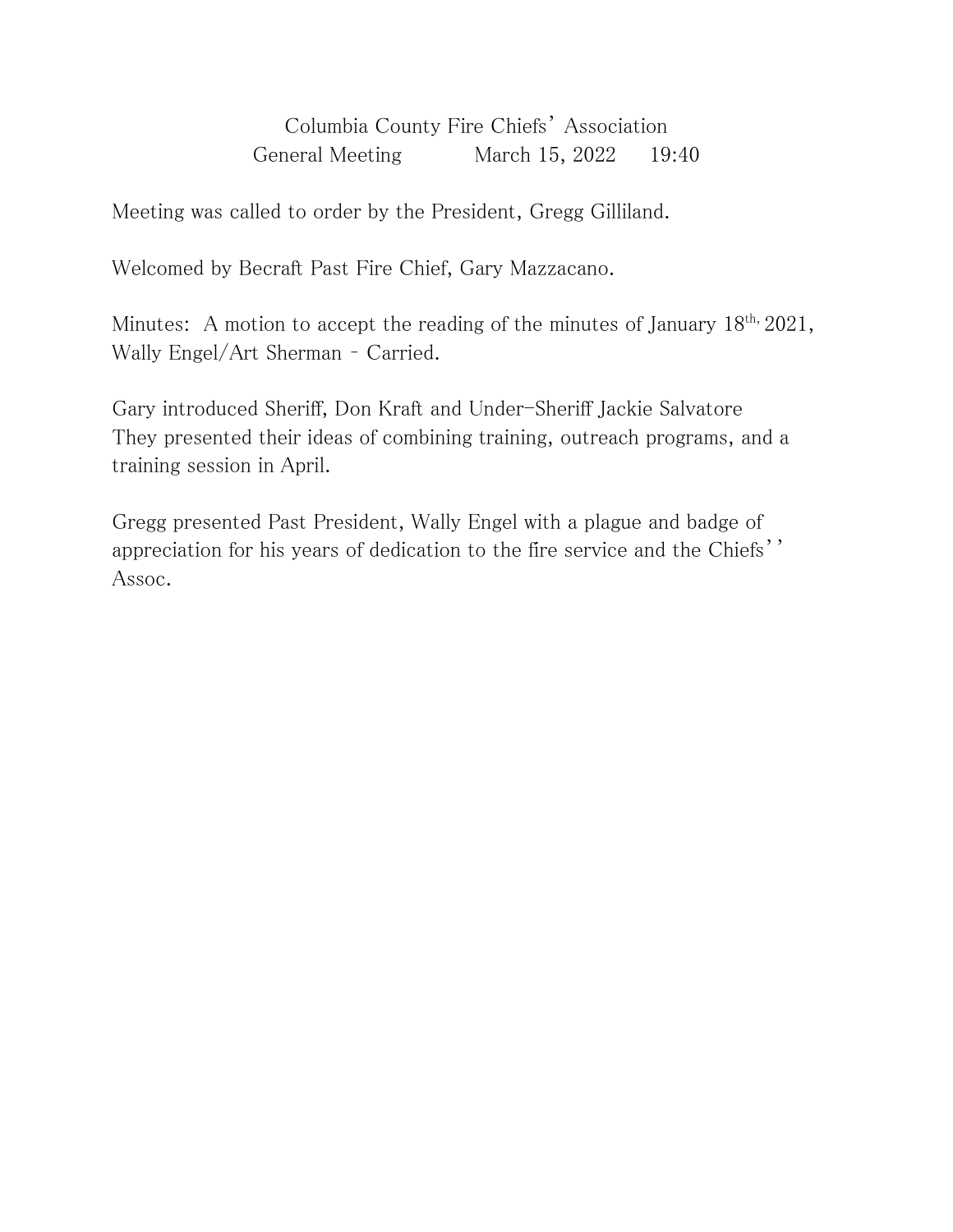Columbia County Fire Chiefs' Association General Meeting March 15, 2022 19:40

Meeting was called to order by the President, Gregg Gilliland.

Welcomed by Becraft Past Fire Chief, Gary Mazzacano.

Minutes: A motion to accept the reading of the minutes of January  $18^{th}$ ,  $2021$ , Wally Engel/Art Sherman – Carried.

Gary introduced Sheriff, Don Kraft and Under-Sheriff Jackie Salvatore They presented their ideas of combining training, outreach programs, and a training session in April.

Gregg presented Past President, Wally Engel with a plague and badge of appreciation for his years of dedication to the fire service and the Chiefs'' Assoc.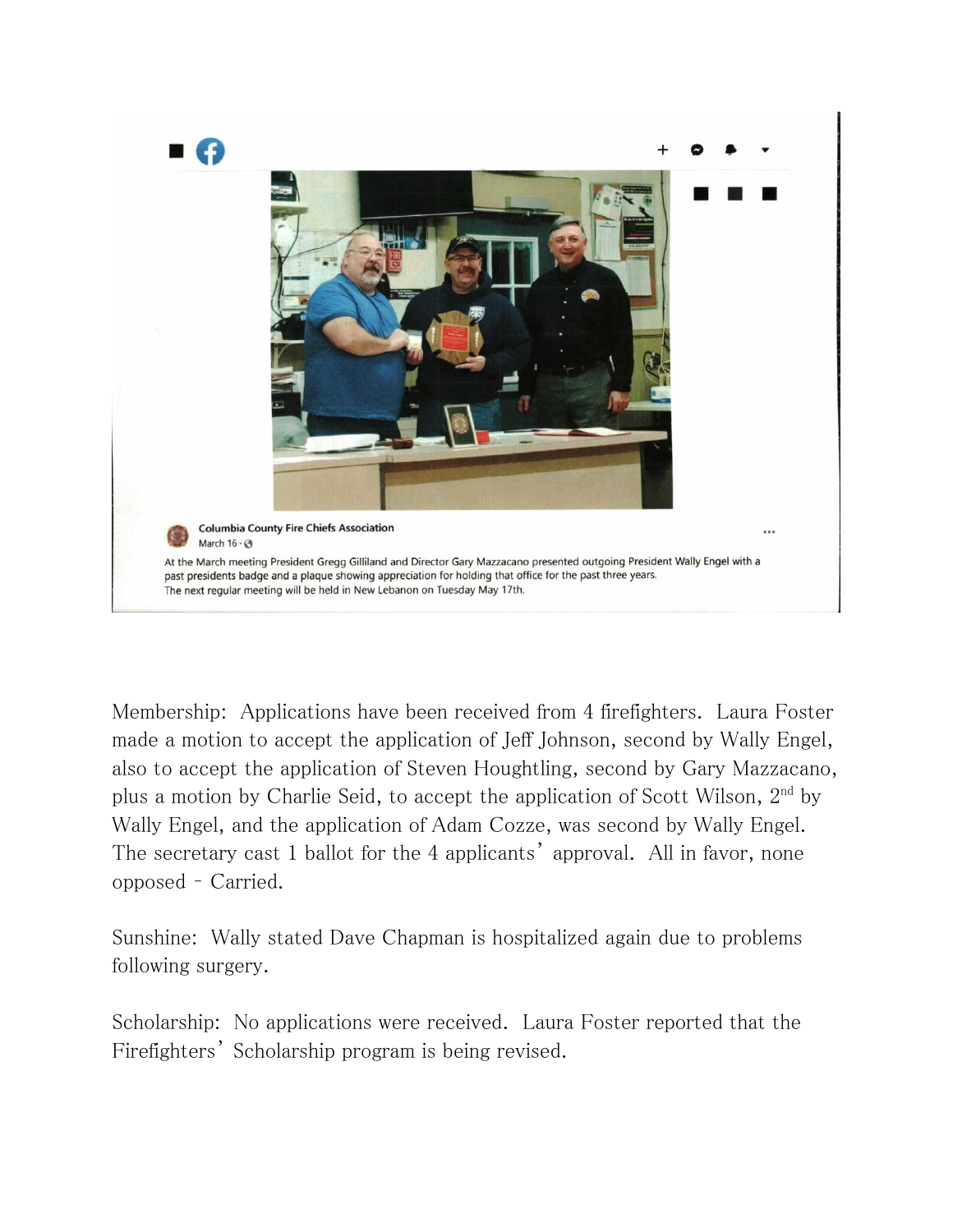

Membership: Applications have been received from 4 firefighters. Laura Foster made a motion to accept the application of Jeff Johnson, second by Wally Engel, also to accept the application of Steven Houghtling, second by Gary Mazzacano, plus a motion by Charlie Seid, to accept the application of Scott Wilson, 2<sup>nd</sup> by Wally Engel, and the application of Adam Cozze, was second by Wally Engel. The secretary cast 1 ballot for the 4 applicants' approval. All in favor, none opposed – Carried.

Sunshine: Wally stated Dave Chapman is hospitalized again due to problems following surgery.

Scholarship: No applications were received. Laura Foster reported that the Firefighters' Scholarship program is being revised.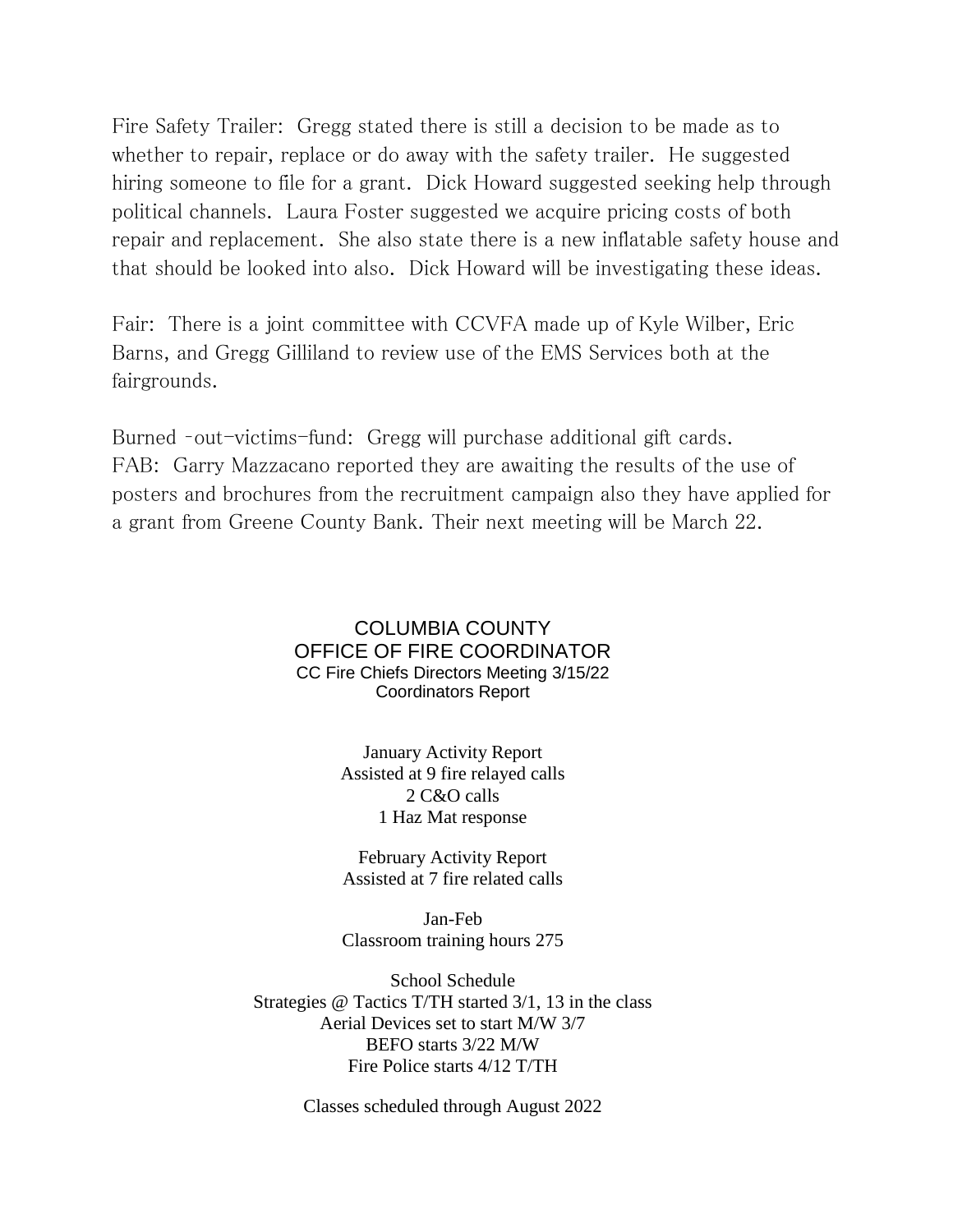Fire Safety Trailer: Gregg stated there is still a decision to be made as to whether to repair, replace or do away with the safety trailer. He suggested hiring someone to file for a grant. Dick Howard suggested seeking help through political channels. Laura Foster suggested we acquire pricing costs of both repair and replacement. She also state there is a new inflatable safety house and that should be looked into also. Dick Howard will be investigating these ideas.

Fair: There is a joint committee with CCVFA made up of Kyle Wilber, Eric Barns, and Gregg Gilliland to review use of the EMS Services both at the fairgrounds.

Burned –out-victims-fund: Gregg will purchase additional gift cards. FAB: Garry Mazzacano reported they are awaiting the results of the use of posters and brochures from the recruitment campaign also they have applied for a grant from Greene County Bank. Their next meeting will be March 22.

### COLUMBIA COUNTY OFFICE OF FIRE COORDINATOR CC Fire Chiefs Directors Meeting 3/15/22 Coordinators Report

January Activity Report Assisted at 9 fire relayed calls 2 C&O calls 1 Haz Mat response

February Activity Report Assisted at 7 fire related calls

Jan-Feb Classroom training hours 275

School Schedule Strategies @ Tactics T/TH started 3/1, 13 in the class Aerial Devices set to start M/W 3/7 BEFO starts 3/22 M/W Fire Police starts 4/12 T/TH

Classes scheduled through August 2022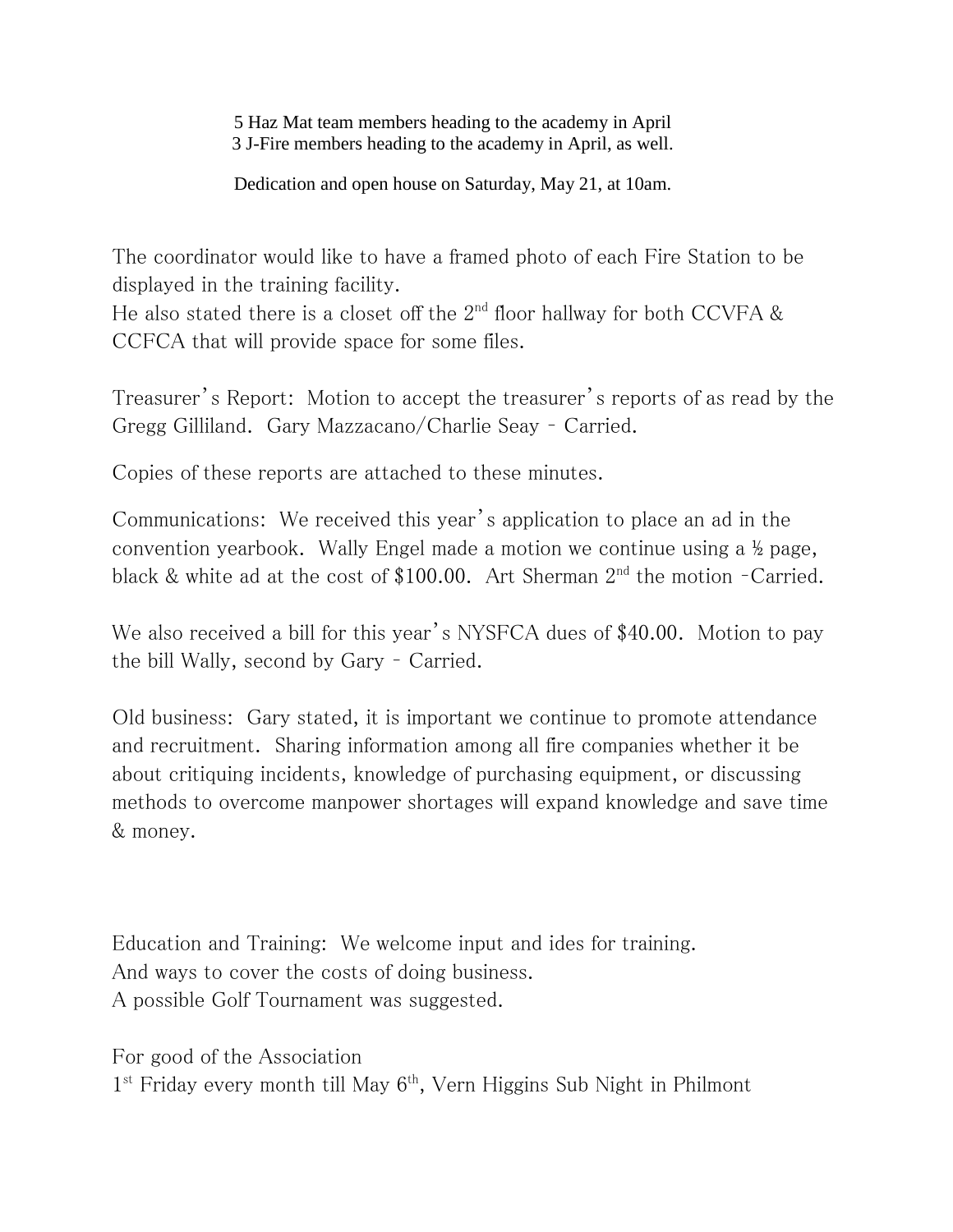5 Haz Mat team members heading to the academy in April 3 J-Fire members heading to the academy in April, as well.

Dedication and open house on Saturday, May 21, at 10am.

The coordinator would like to have a framed photo of each Fire Station to be displayed in the training facility.

He also stated there is a closet off the  $2<sup>nd</sup>$  floor hallway for both CCVFA & CCFCA that will provide space for some files.

Treasurer's Report: Motion to accept the treasurer's reports of as read by the Gregg Gilliland. Gary Mazzacano/Charlie Seay – Carried.

Copies of these reports are attached to these minutes.

Communications: We received this year's application to place an ad in the convention yearbook. Wally Engel made a motion we continue using a ½ page, black & white ad at the cost of \$100.00. Art Sherman  $2<sup>nd</sup>$  the motion -Carried.

We also received a bill for this year's NYSFCA dues of \$40.00. Motion to pay the bill Wally, second by Gary – Carried.

Old business: Gary stated, it is important we continue to promote attendance and recruitment. Sharing information among all fire companies whether it be about critiquing incidents, knowledge of purchasing equipment, or discussing methods to overcome manpower shortages will expand knowledge and save time & money.

Education and Training: We welcome input and ides for training. And ways to cover the costs of doing business. A possible Golf Tournament was suggested.

For good of the Association

1<sup>st</sup> Friday every month till May 6<sup>th</sup>, Vern Higgins Sub Night in Philmont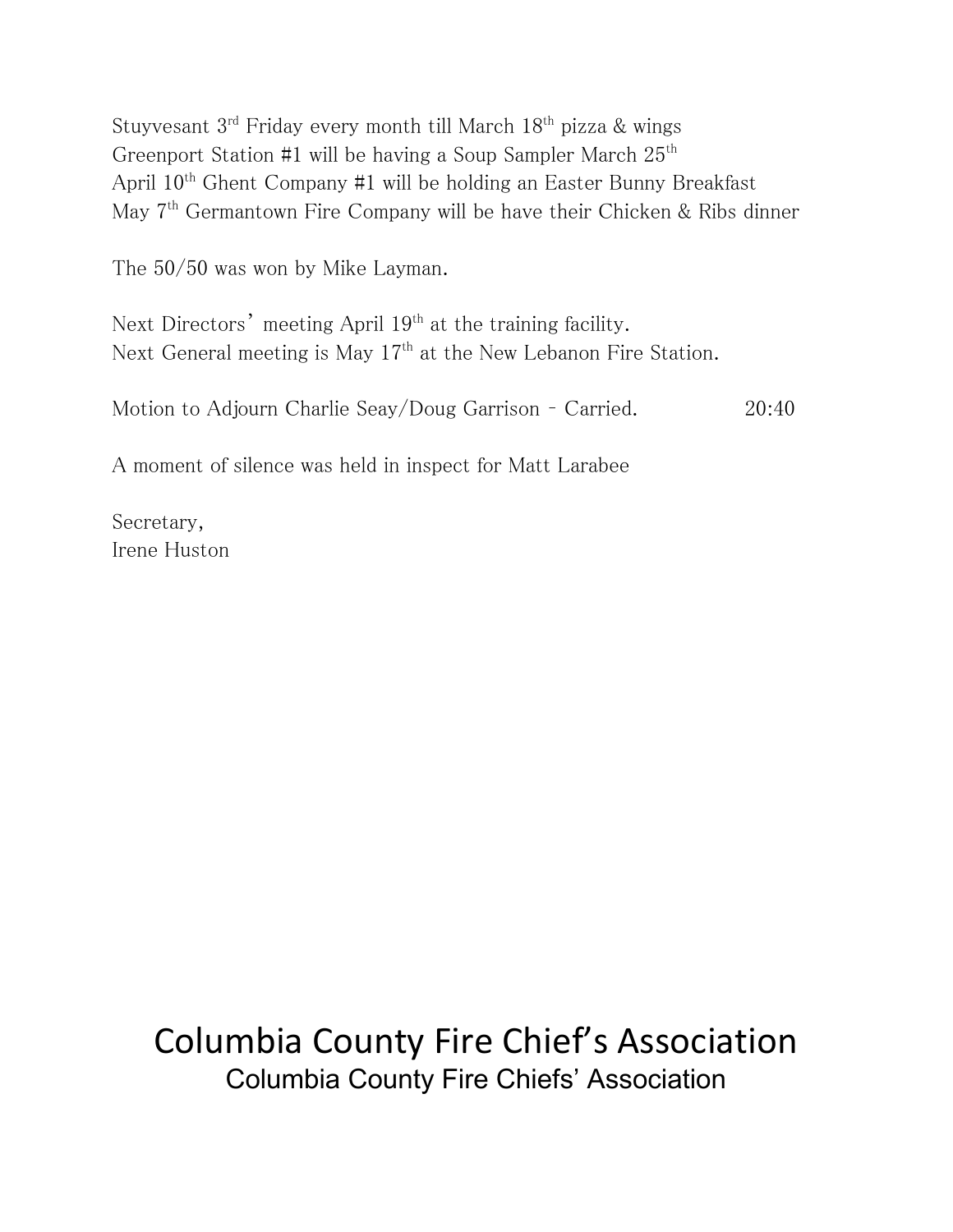Stuyvesant 3<sup>rd</sup> Friday every month till March 18<sup>th</sup> pizza & wings Greenport Station #1 will be having a Soup Sampler March  $25<sup>th</sup>$ April 10th Ghent Company #1 will be holding an Easter Bunny Breakfast May 7<sup>th</sup> Germantown Fire Company will be have their Chicken & Ribs dinner

The 50/50 was won by Mike Layman.

Next Directors' meeting April 19<sup>th</sup> at the training facility. Next General meeting is May  $17<sup>th</sup>$  at the New Lebanon Fire Station.

Motion to Adjourn Charlie Seay/Doug Garrison – Carried. 20:40

A moment of silence was held in inspect for Matt Larabee

Secretary, Irene Huston

# Columbia County Fire Chief's Association Columbia County Fire Chiefs' Association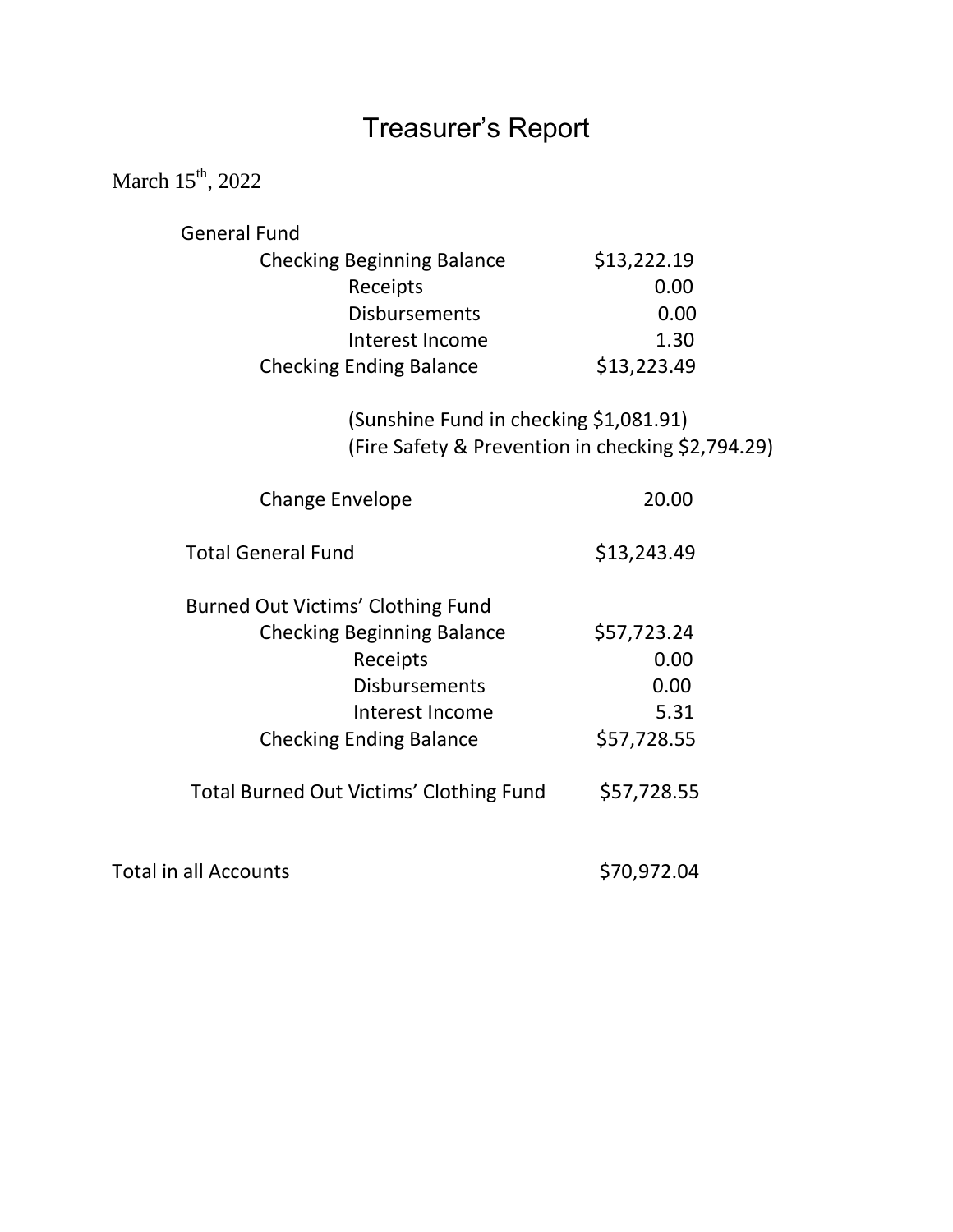# Treasurer's Report

March  $15^{th}$ , 2022

| <b>General Fund</b>                            |                                                   |
|------------------------------------------------|---------------------------------------------------|
| <b>Checking Beginning Balance</b>              | \$13,222.19                                       |
| Receipts                                       | 0.00                                              |
| <b>Disbursements</b>                           | 0.00                                              |
| Interest Income                                | 1.30                                              |
| <b>Checking Ending Balance</b>                 | \$13,223.49                                       |
| (Sunshine Fund in checking \$1,081.91)         |                                                   |
|                                                | (Fire Safety & Prevention in checking \$2,794.29) |
| <b>Change Envelope</b>                         | 20.00                                             |
| <b>Total General Fund</b>                      | \$13,243.49                                       |
| Burned Out Victims' Clothing Fund              |                                                   |
| <b>Checking Beginning Balance</b>              | \$57,723.24                                       |
| Receipts                                       | 0.00                                              |
| <b>Disbursements</b>                           | 0.00                                              |
| Interest Income                                | 5.31                                              |
| <b>Checking Ending Balance</b>                 | \$57,728.55                                       |
| <b>Total Burned Out Victims' Clothing Fund</b> | \$57,728.55                                       |
| <b>Total in all Accounts</b>                   | \$70,972.04                                       |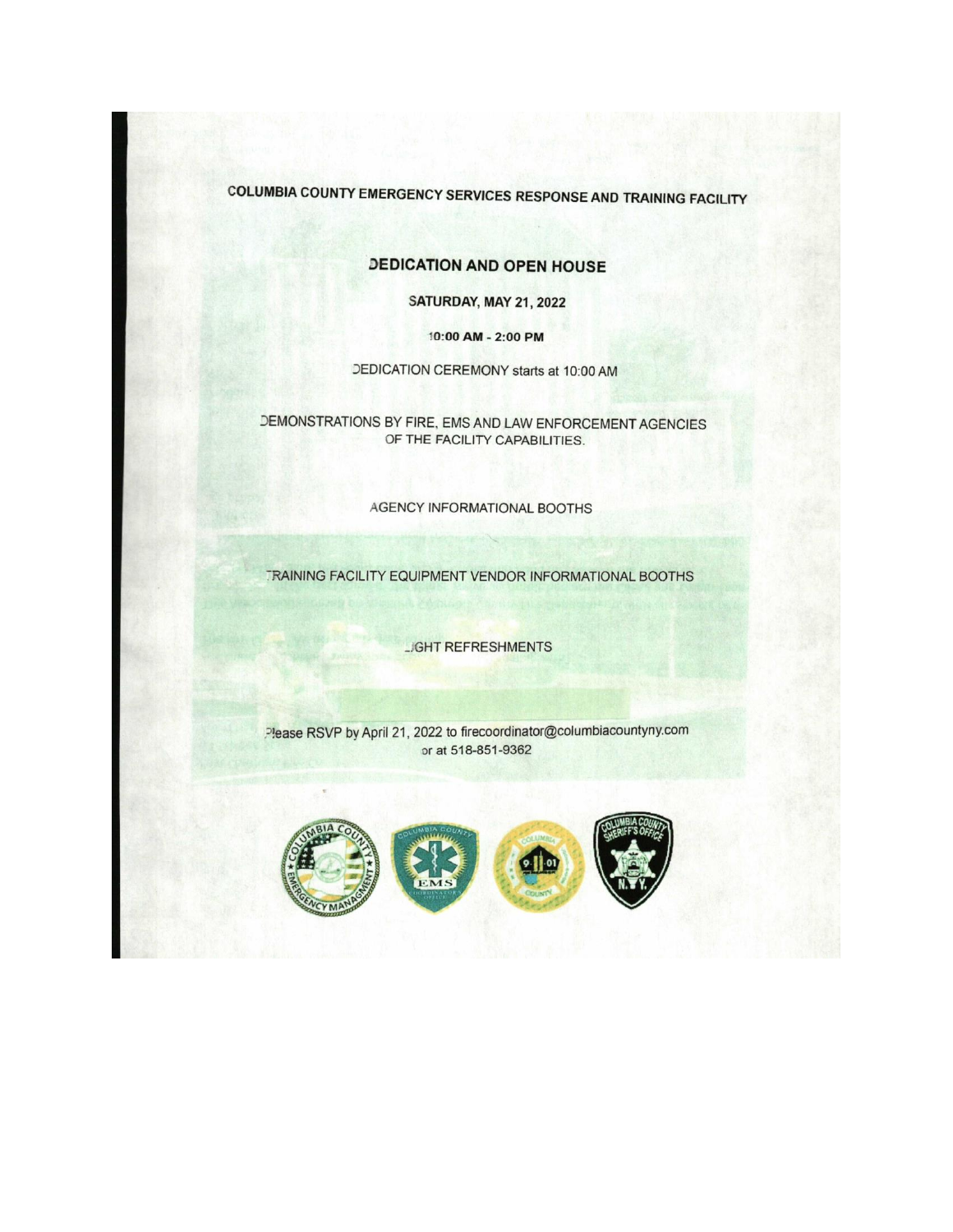**COLUMBIA COUNTY EMERGENCY SERVICES RESPONSE AND TRAINING FACILITY** 

#### **DEDICATION AND OPEN HOUSE**

SATURDAY, MAY 21, 2022

10:00 AM - 2:00 PM

DEDICATION CEREMONY starts at 10:00 AM

DEMONSTRATIONS BY FIRE, EMS AND LAW ENFORCEMENT AGENCIES OF THE FACILITY CAPABILITIES.

AGENCY INFORMATIONAL BOOTHS

TRAINING FACILITY EQUIPMENT VENDOR INFORMATIONAL BOOTHS

**JGHT REFRESHMENTS** 

Please RSVP by April 21, 2022 to firecoordinator@columbiacountyny.com or at 518-851-9362

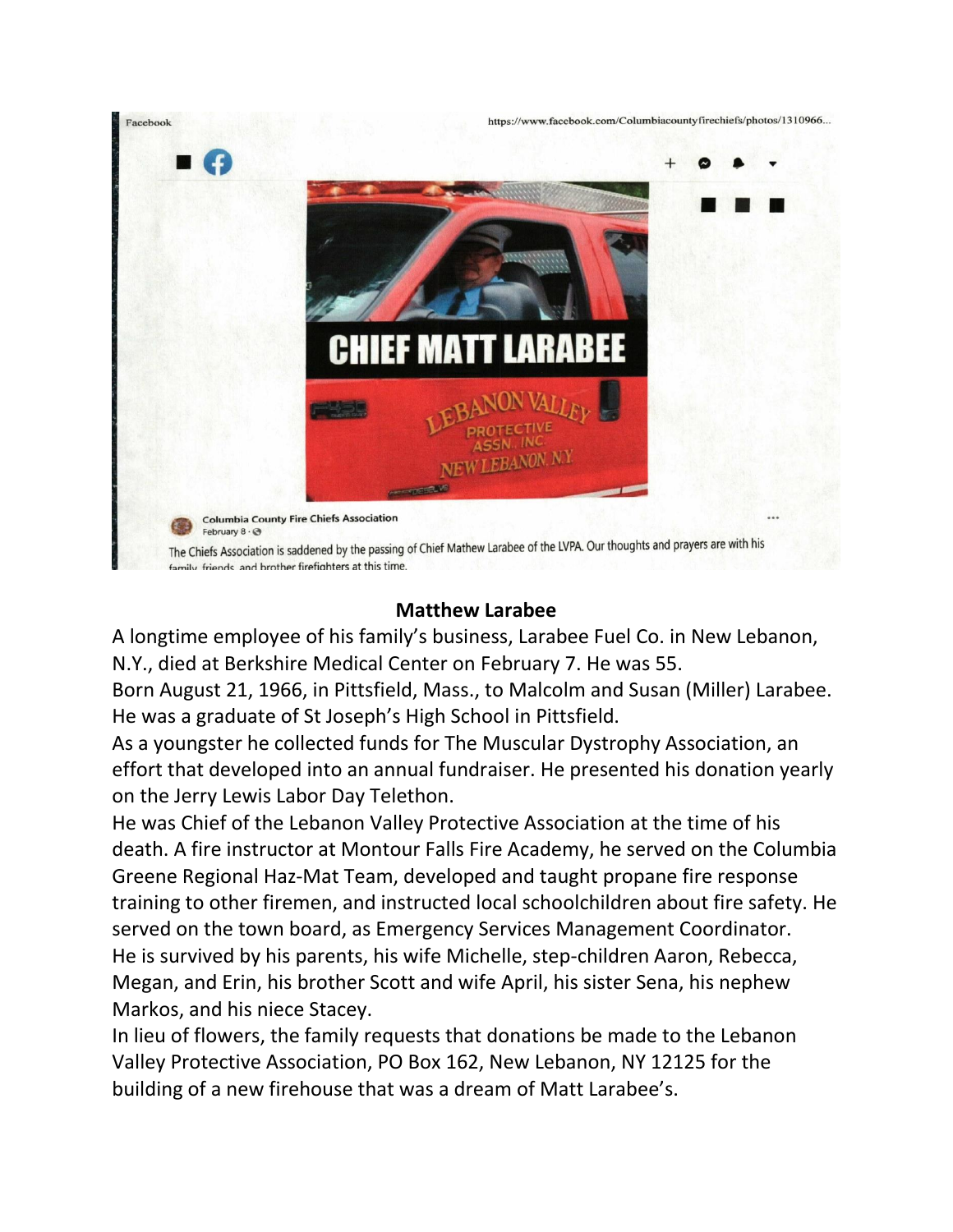

### **Matthew Larabee**

A longtime employee of his family's business, Larabee Fuel Co. in New Lebanon, N.Y., died at Berkshire Medical Center on February 7. He was 55.

Born August 21, 1966, in Pittsfield, Mass., to Malcolm and Susan (Miller) Larabee. He was a graduate of St Joseph's High School in Pittsfield.

As a youngster he collected funds for The Muscular Dystrophy Association, an effort that developed into an annual fundraiser. He presented his donation yearly on the Jerry Lewis Labor Day Telethon.

He was Chief of the Lebanon Valley Protective Association at the time of his death. A fire instructor at Montour Falls Fire Academy, he served on the Columbia Greene Regional Haz-Mat Team, developed and taught propane fire response training to other firemen, and instructed local schoolchildren about fire safety. He served on the town board, as Emergency Services Management Coordinator. He is survived by his parents, his wife Michelle, step-children Aaron, Rebecca, Megan, and Erin, his brother Scott and wife April, his sister Sena, his nephew Markos, and his niece Stacey.

In lieu of flowers, the family requests that donations be made to the Lebanon Valley Protective Association, PO Box 162, New Lebanon, NY 12125 for the building of a new firehouse that was a dream of Matt Larabee's.